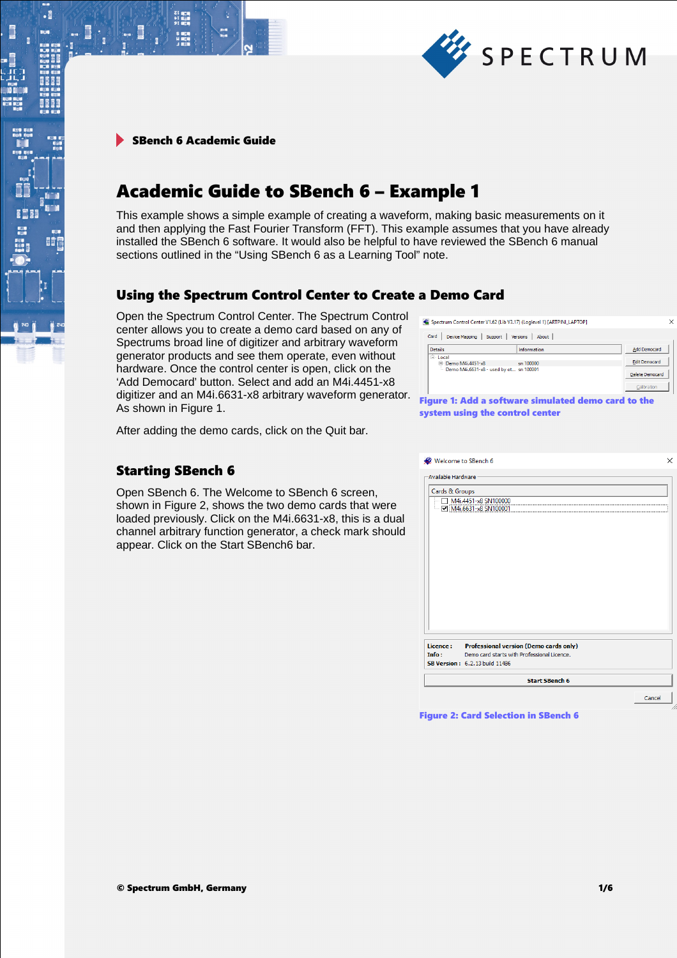

.

間

# Academic Guide to SBench 6 – Example 1

This example shows a simple example of creating a waveform, making basic measurements on it and then applying the Fast Fourier Transform (FFT). This example assumes that you have already installed the SBench 6 software. It would also be helpful to have reviewed the SBench 6 manual sections outlined in the "Using SBench 6 as a Learning Tool" note.

# Using the Spectrum Control Center to Create a Demo Card

Open the Spectrum Control Center. The Spectrum Control center allows you to create a demo card based on any of Spectrums broad line of digitizer and arbitrary waveform generator products and see them operate, even without hardware. Once the control center is open, click on the 'Add Democard' button. Select and add an M4i.4451-x8 digitizer and an M4i.6631-x8 arbitrary waveform generator. As shown in Figure 1.

After adding the demo cards, click on the Quit bar.

## Starting SBench 6

Open SBench 6. The Welcome to SBench 6 screen, shown in Figure 2, shows the two demo cards that were loaded previously. Click on the M4i.6631-x8, this is a dual channel arbitrary function generator, a check mark should appear. Click on the Start SBench6 bar.

Spectrum Control Center V1.62 (Lib V3.17) (Loglevel 1) [ARTPINI LAPTOP]

| Card<br>Device Mapping<br>Support       | About<br><b>Versions</b>                            |                        |
|-----------------------------------------|-----------------------------------------------------|------------------------|
| <b>Details</b>                          | Information                                         | <b>Add Democard</b>    |
| E Local<br>F Demo M4i.4451-x8           | sn 100000                                           | <b>Edit Democard</b>   |
| Demo M4i.6631-x8 - used by ot sn 100001 |                                                     | <b>Delete Democard</b> |
|                                         |                                                     | Calibration            |
|                                         | Figure 1: Add a software simulated demo card to the |                        |

system using the control center

|                     | Welcome to SBench 6                           |  |
|---------------------|-----------------------------------------------|--|
| -Available Hardware |                                               |  |
| Cards & Groups      |                                               |  |
|                     | M4i.4451-x8 SN100000                          |  |
|                     | M4i.6631-x8 SN100001                          |  |
|                     |                                               |  |
|                     |                                               |  |
|                     |                                               |  |
|                     |                                               |  |
|                     |                                               |  |
|                     |                                               |  |
|                     |                                               |  |
|                     |                                               |  |
|                     |                                               |  |
|                     |                                               |  |
|                     |                                               |  |
|                     |                                               |  |
|                     |                                               |  |
|                     |                                               |  |
| Licence:            | <b>Professional version (Demo cards only)</b> |  |
| Info:               | Demo card starts with Professional Licence.   |  |
|                     | <b>SB Version: 6.2.13 build 11486</b>         |  |
|                     |                                               |  |

Figure 2: Card Selection in SBench 6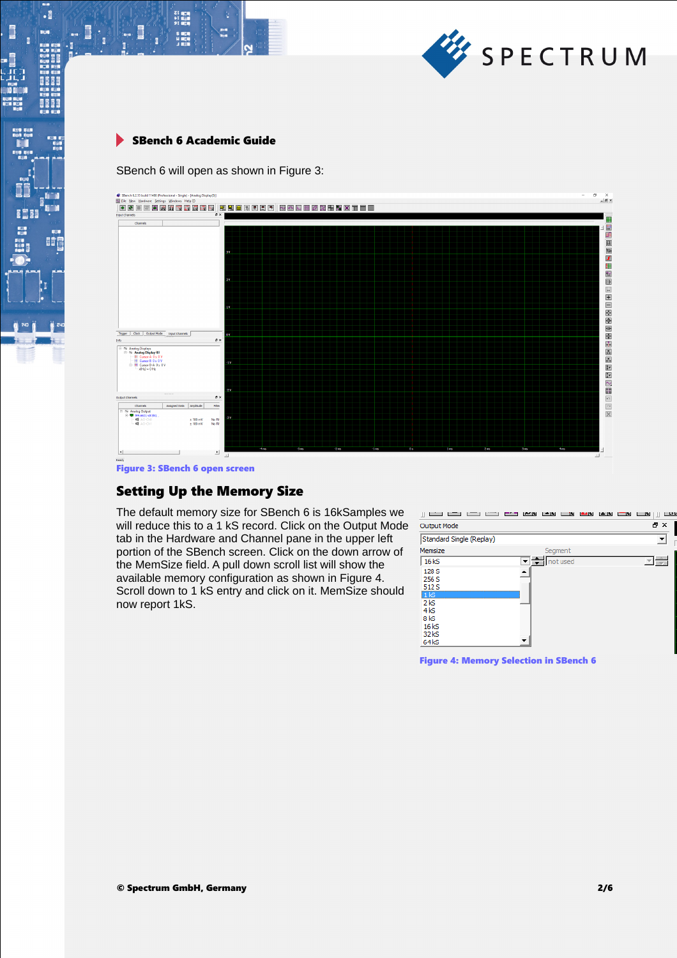

 $\begin{array}{l} \text{Z} \parallel \text{R} \parallel \text{R} \parallel \text{R} \parallel \text{R} \parallel \text{R} \parallel \text{R} \parallel \text{R} \parallel \text{R} \parallel \text{R} \parallel \text{R} \parallel \text{R} \parallel \text{R} \parallel \text{R} \parallel \text{R} \parallel \text{R} \parallel \text{R} \parallel \text{R} \parallel \text{R} \parallel \text{R} \parallel \text{R} \parallel \text{R} \parallel \text{R} \parallel \text{R} \parallel \text{R} \parallel \text{R} \parallel \text{R} \parallel \text{R} \parallel \text{R} \parallel \text{R} \parallel \text{$ 

s men<br>Himen

Ē

 $\cdot$ 

ь.

**BEEF** 

8888

**II** 

I

SBench 6 will open as shown in Figure 3:



Figure 3: SBench 6 open screen

## Setting Up the Memory Size

The default memory size for SBench 6 is 16kSamples we will reduce this to a 1 kS record. Click on the Output Mode tab in the Hardware and Channel pane in the upper left portion of the SBench screen. Click on the down arrow of the MemSize field. A pull down scroll list will show the available memory configuration as shown in Figure 4. Scroll down to 1 kS entry and click on it. MemSize should now report 1kS.



Figure 4: Memory Selection in SBench 6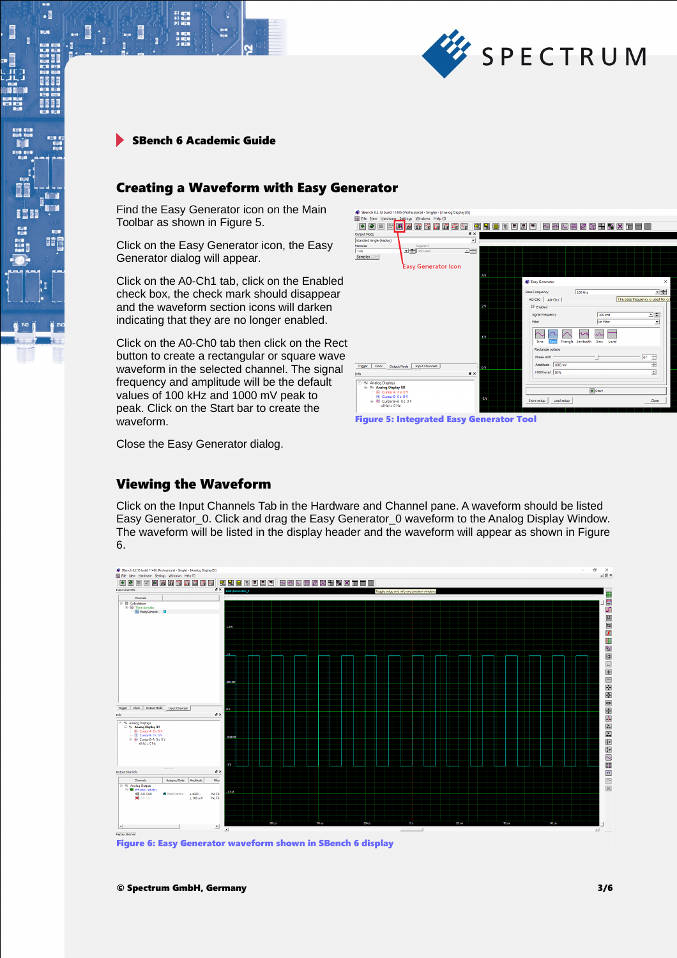

s men<br>Himen

 $\blacksquare$ 

 $\cdot$ 

i.

Ē

**BEEF** 

8888

**BOF** 

## Creating a Waveform with Easy Generator

Find the Easy Generator icon on the Main Toolbar as shown in Figure 5.

Click on the Easy Generator icon, the Easy Generator dialog will appear.

Click on the A0-Ch1 tab, click on the Enabled check box, the check mark should disappear and the waveform section icons will darken indicating that they are no longer enabled.

Click on the A0-Ch0 tab then click on the Rect button to create a rectangular or square wave waveform in the selected channel. The signal frequency and amplitude will be the default values of 100 kHz and 1000 mV peak to peak. Click on the Start bar to create the waveform.

SBench 6.2.13 build 1 <u>ide de <mark>p</mark>ärgunger i sedeler i seder v</u>oorde  $\frac{1}{2}$ ≂i≞ir  $\overline{z}$ Samples .<br>Easy Generator Icon Easy G  $\sqrt{100 \text{ kHz}}$ 그룹  $A0$ -Cho  $\overline{A}$   $A0$ -Ch1  $\overline{A}$ The base freque  $\overline{v}$  End **Signal Frequend**  $100 \, \text{kHz}$ 그는 **No Elho**  $\sim$  $\overline{\mathcal{L}}$  $\sim$   $-$ 프  $\overline{\wedge}$  $\overline{z}$ Trigger | Clock | Output Mode | Input Channels HIGH level 50% ÷  $\overline{\mathbf{e}}$  >  $\sim$  Analog Displays<br> $\equiv$   $\sim$  Analog Display (0)  $\boxed{\triangle}$  Star Store setup | Load setup



Close the Easy Generator dialog.

## Viewing the Waveform

Click on the Input Channels Tab in the Hardware and Channel pane. A waveform should be listed Easy Generator\_0. Click and drag the Easy Generator\_0 waveform to the Analog Display Window. The waveform will be listed in the display header and the waveform will appear as shown in Figure 6.



Figure 6: Easy Generator waveform shown in SBench 6 display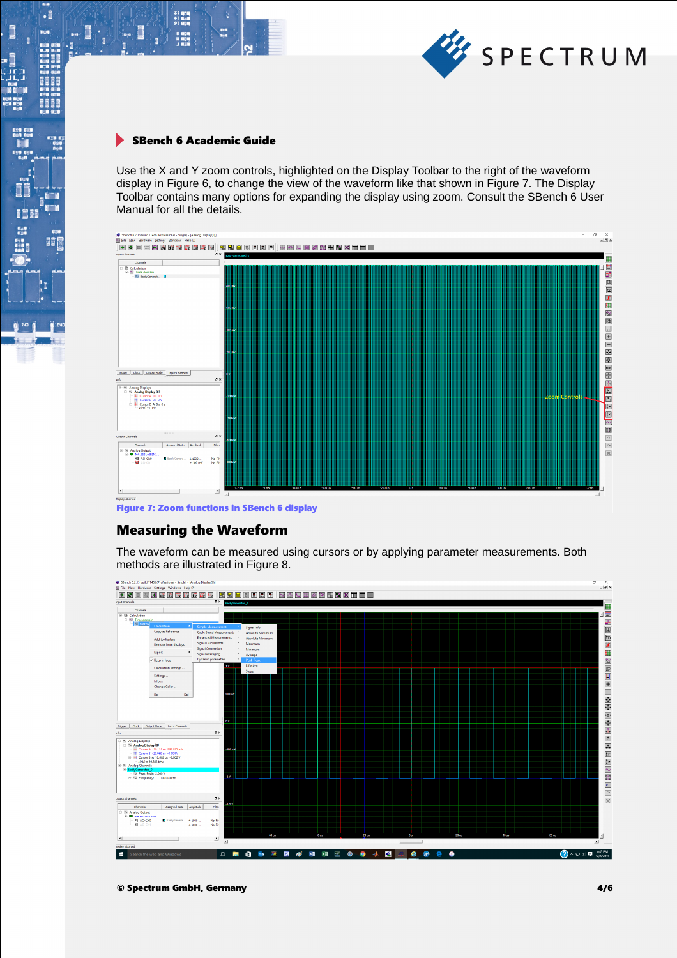

s are<br>H area

**III. j** 

 $\cdot$ 

634

a con a con a se e a a<br>A con a se con a con a<br>A con a se con a se con a

瞳

'ī

ii<br>G

j

Use the X and Y zoom controls, highlighted on the Display Toolbar to the right of the waveform display in Figure 6, to change the view of the waveform like that shown in Figure 7. The Display Toolbar contains many options for expanding the display using zoom. Consult the SBench 6 User Manual for all the details.



Figure 7: Zoom functions in SBench 6 display

### Measuring the Waveform

The waveform can be measured using cursors or by applying parameter measurements. Both methods are illustrated in Figure 8.

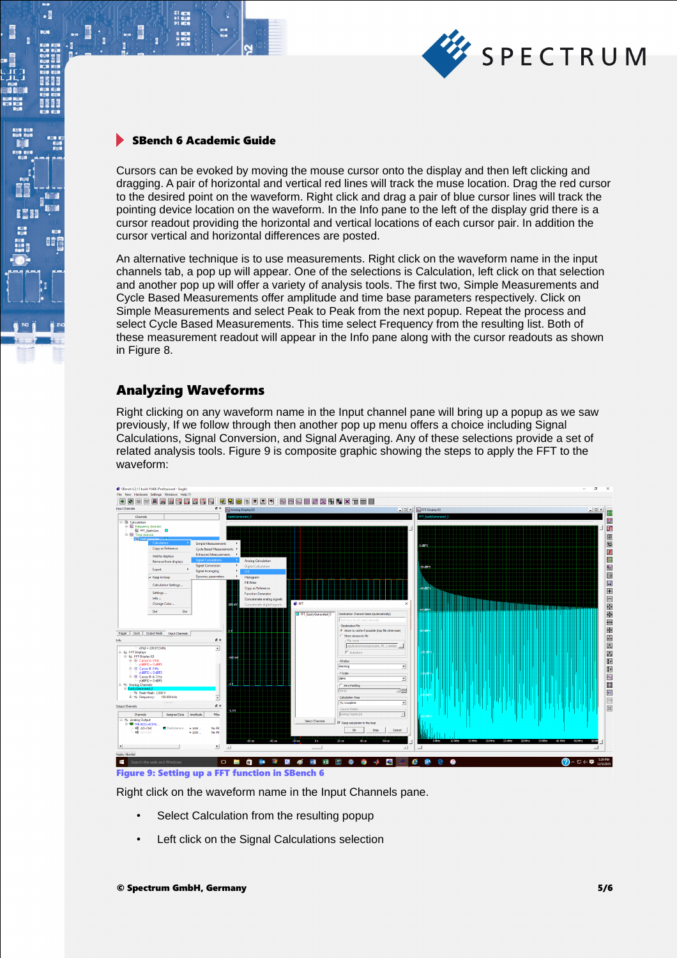

21 mgm<br>41 mgm<br>91 mgm

 $\cdot$ 

H 8668

電

Cursors can be evoked by moving the mouse cursor onto the display and then left clicking and dragging. A pair of horizontal and vertical red lines will track the muse location. Drag the red cursor to the desired point on the waveform. Right click and drag a pair of blue cursor lines will track the pointing device location on the waveform. In the Info pane to the left of the display grid there is a cursor readout providing the horizontal and vertical locations of each cursor pair. In addition the cursor vertical and horizontal differences are posted.

An alternative technique is to use measurements. Right click on the waveform name in the input channels tab, a pop up will appear. One of the selections is Calculation, left click on that selection and another pop up will offer a variety of analysis tools. The first two, Simple Measurements and Cycle Based Measurements offer amplitude and time base parameters respectively. Click on Simple Measurements and select Peak to Peak from the next popup. Repeat the process and select Cycle Based Measurements. This time select Frequency from the resulting list. Both of these measurement readout will appear in the Info pane along with the cursor readouts as shown in Figure 8.

## Analyzing Waveforms

Right clicking on any waveform name in the Input channel pane will bring up a popup as we saw previously, If we follow through then another pop up menu offers a choice including Signal Calculations, Signal Conversion, and Signal Averaging. Any of these selections provide a set of related analysis tools. Figure 9 is composite graphic showing the steps to apply the FFT to the waveform:



Figure 9: Setting up a FFT function in SBench 6

Right click on the waveform name in the Input Channels pane.

- Select Calculation from the resulting popup
- Left click on the Signal Calculations selection